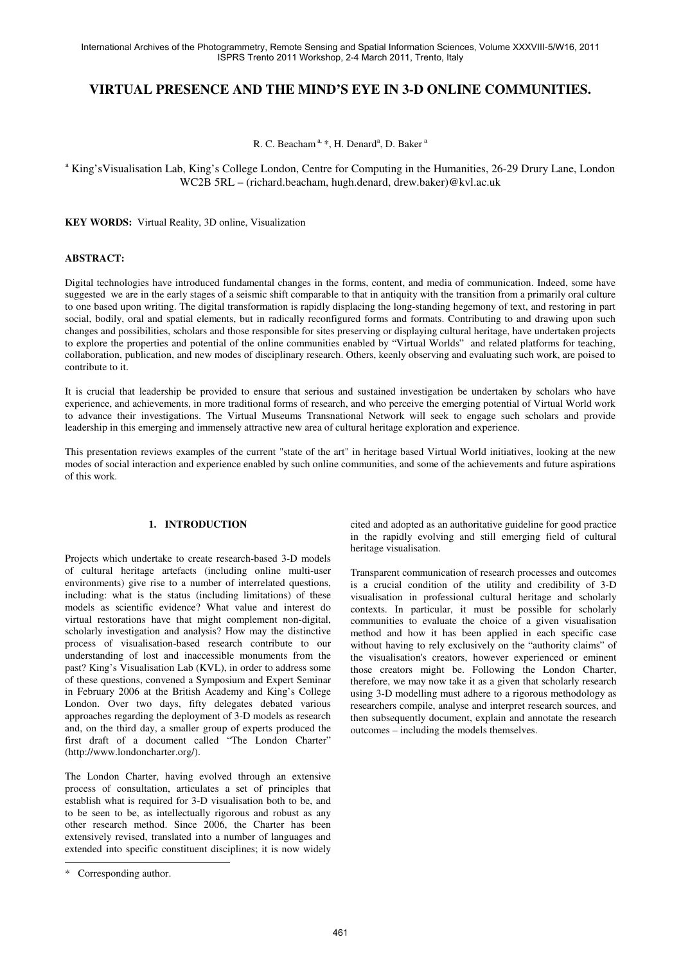# **VIRTUAL PRESENCE AND THE MIND'S EYE IN 3-D ONLINE COMMUNITIES.**

R. C. Beacham<sup>a, \*</sup>, H. Denard<sup>a</sup>, D. Baker<sup>a</sup>

<sup>a</sup> King'sVisualisation Lab, King's College London, Centre for Computing in the Humanities, 26-29 Drury Lane, London WC2B 5RL – (richard.beacham, hugh.denard, drew.baker)@kvl.ac.uk

**KEY WORDS:** Virtual Reality, 3D online, Visualization

## **ABSTRACT:**

Digital technologies have introduced fundamental changes in the forms, content, and media of communication. Indeed, some have suggested we are in the early stages of a seismic shift comparable to that in antiquity with the transition from a primarily oral culture to one based upon writing. The digital transformation is rapidly displacing the long-standing hegemony of text, and restoring in part social, bodily, oral and spatial elements, but in radically reconfigured forms and formats. Contributing to and drawing upon such changes and possibilities, scholars and those responsible for sites preserving or displaying cultural heritage, have undertaken projects to explore the properties and potential of the online communities enabled by "Virtual Worlds" and related platforms for teaching, collaboration, publication, and new modes of disciplinary research. Others, keenly observing and evaluating such work, are poised to contribute to it.

It is crucial that leadership be provided to ensure that serious and sustained investigation be undertaken by scholars who have experience, and achievements, in more traditional forms of research, and who perceive the emerging potential of Virtual World work to advance their investigations. The Virtual Museums Transnational Network will seek to engage such scholars and provide leadership in this emerging and immensely attractive new area of cultural heritage exploration and experience.

This presentation reviews examples of the current "state of the art" in heritage based Virtual World initiatives, looking at the new modes of social interaction and experience enabled by such online communities, and some of the achievements and future aspirations of this work.

### **1. INTRODUCTION**

Projects which undertake to create research-based 3-D models of cultural heritage artefacts (including online multi-user environments) give rise to a number of interrelated questions, including: what is the status (including limitations) of these models as scientific evidence? What value and interest do virtual restorations have that might complement non-digital, scholarly investigation and analysis? How may the distinctive process of visualisation-based research contribute to our understanding of lost and inaccessible monuments from the past? King's Visualisation Lab (KVL), in order to address some of these questions, convened a Symposium and Expert Seminar in February 2006 at the British Academy and King's College London. Over two days, fifty delegates debated various approaches regarding the deployment of 3-D models as research and, on the third day, a smaller group of experts produced the first draft of a document called "The London Charter" (http://www.londoncharter.org/).

The London Charter, having evolved through an extensive process of consultation, articulates a set of principles that establish what is required for 3-D visualisation both to be, and to be seen to be, as intellectually rigorous and robust as any other research method. Since 2006, the Charter has been extensively revised, translated into a number of languages and extended into specific constituent disciplines; it is now widely

j

cited and adopted as an authoritative guideline for good practice in the rapidly evolving and still emerging field of cultural heritage visualisation.

Transparent communication of research processes and outcomes is a crucial condition of the utility and credibility of 3-D visualisation in professional cultural heritage and scholarly contexts. In particular, it must be possible for scholarly communities to evaluate the choice of a given visualisation method and how it has been applied in each specific case without having to rely exclusively on the "authority claims" of the visualisation's creators, however experienced or eminent those creators might be. Following the London Charter, therefore, we may now take it as a given that scholarly research using 3-D modelling must adhere to a rigorous methodology as researchers compile, analyse and interpret research sources, and then subsequently document, explain and annotate the research outcomes – including the models themselves.

<sup>\*</sup> Corresponding author.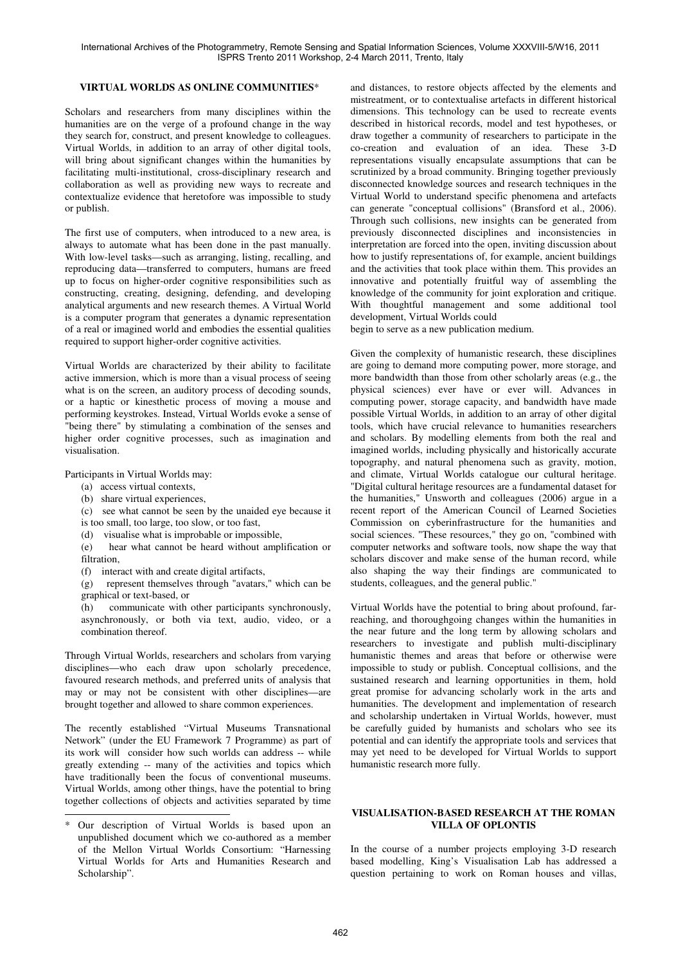## **VIRTUAL WORLDS AS ONLINE COMMUNITIES**\*

Scholars and researchers from many disciplines within the humanities are on the verge of a profound change in the way they search for, construct, and present knowledge to colleagues. Virtual Worlds, in addition to an array of other digital tools, will bring about significant changes within the humanities by facilitating multi-institutional, cross-disciplinary research and collaboration as well as providing new ways to recreate and contextualize evidence that heretofore was impossible to study or publish.

The first use of computers, when introduced to a new area, is always to automate what has been done in the past manually. With low-level tasks—such as arranging, listing, recalling, and reproducing data—transferred to computers, humans are freed up to focus on higher-order cognitive responsibilities such as constructing, creating, designing, defending, and developing analytical arguments and new research themes. A Virtual World is a computer program that generates a dynamic representation of a real or imagined world and embodies the essential qualities required to support higher-order cognitive activities.

Virtual Worlds are characterized by their ability to facilitate active immersion, which is more than a visual process of seeing what is on the screen, an auditory process of decoding sounds, or a haptic or kinesthetic process of moving a mouse and performing keystrokes. Instead, Virtual Worlds evoke a sense of "being there" by stimulating a combination of the senses and higher order cognitive processes, such as imagination and visualisation.

Participants in Virtual Worlds may:

- (a) access virtual contexts,
- (b) share virtual experiences,

j

- (c) see what cannot be seen by the unaided eye because it
- is too small, too large, too slow, or too fast,
- (d) visualise what is improbable or impossible,<br>(e) hear what cannot be heard without ample

hear what cannot be heard without amplification or filtration,

(f) interact with and create digital artifacts,

(g) represent themselves through "avatars," which can be graphical or text-based, or

(h) communicate with other participants synchronously, asynchronously, or both via text, audio, video, or a combination thereof.

Through Virtual Worlds, researchers and scholars from varying disciplines—who each draw upon scholarly precedence, favoured research methods, and preferred units of analysis that may or may not be consistent with other disciplines—are brought together and allowed to share common experiences.

The recently established "Virtual Museums Transnational Network" (under the EU Framework 7 Programme) as part of its work will consider how such worlds can address -- while greatly extending -- many of the activities and topics which have traditionally been the focus of conventional museums. Virtual Worlds, among other things, have the potential to bring together collections of objects and activities separated by time and distances, to restore objects affected by the elements and mistreatment, or to contextualise artefacts in different historical dimensions. This technology can be used to recreate events described in historical records, model and test hypotheses, or draw together a community of researchers to participate in the co-creation and evaluation of an idea. These 3-D representations visually encapsulate assumptions that can be scrutinized by a broad community. Bringing together previously disconnected knowledge sources and research techniques in the Virtual World to understand specific phenomena and artefacts can generate "conceptual collisions" (Bransford et al., 2006). Through such collisions, new insights can be generated from previously disconnected disciplines and inconsistencies in interpretation are forced into the open, inviting discussion about how to justify representations of, for example, ancient buildings and the activities that took place within them. This provides an innovative and potentially fruitful way of assembling the knowledge of the community for joint exploration and critique. With thoughtful management and some additional tool development, Virtual Worlds could

begin to serve as a new publication medium.

Given the complexity of humanistic research, these disciplines are going to demand more computing power, more storage, and more bandwidth than those from other scholarly areas (e.g., the physical sciences) ever have or ever will. Advances in computing power, storage capacity, and bandwidth have made possible Virtual Worlds, in addition to an array of other digital tools, which have crucial relevance to humanities researchers and scholars. By modelling elements from both the real and imagined worlds, including physically and historically accurate topography, and natural phenomena such as gravity, motion, and climate, Virtual Worlds catalogue our cultural heritage. "Digital cultural heritage resources are a fundamental dataset for the humanities," Unsworth and colleagues (2006) argue in a recent report of the American Council of Learned Societies Commission on cyberinfrastructure for the humanities and social sciences. "These resources," they go on, "combined with computer networks and software tools, now shape the way that scholars discover and make sense of the human record, while also shaping the way their findings are communicated to students, colleagues, and the general public."

Virtual Worlds have the potential to bring about profound, farreaching, and thoroughgoing changes within the humanities in the near future and the long term by allowing scholars and researchers to investigate and publish multi-disciplinary humanistic themes and areas that before or otherwise were impossible to study or publish. Conceptual collisions, and the sustained research and learning opportunities in them, hold great promise for advancing scholarly work in the arts and humanities. The development and implementation of research and scholarship undertaken in Virtual Worlds, however, must be carefully guided by humanists and scholars who see its potential and can identify the appropriate tools and services that may yet need to be developed for Virtual Worlds to support humanistic research more fully.

### **VISUALISATION-BASED RESEARCH AT THE ROMAN VILLA OF OPLONTIS**

In the course of a number projects employing 3-D research based modelling, King's Visualisation Lab has addressed a question pertaining to work on Roman houses and villas,

<sup>\*</sup> Our description of Virtual Worlds is based upon an unpublished document which we co-authored as a member of the Mellon Virtual Worlds Consortium: "Harnessing Virtual Worlds for Arts and Humanities Research and Scholarship".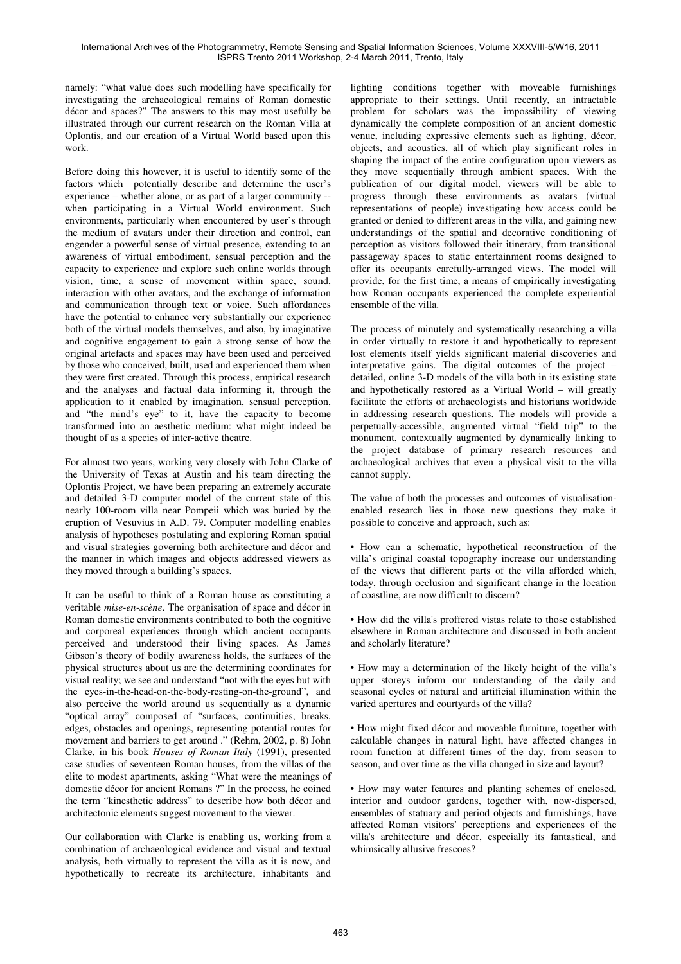namely: "what value does such modelling have specifically for investigating the archaeological remains of Roman domestic décor and spaces?" The answers to this may most usefully be illustrated through our current research on the Roman Villa at Oplontis, and our creation of a Virtual World based upon this work.

Before doing this however, it is useful to identify some of the factors which potentially describe and determine the user's experience – whether alone, or as part of a larger community - when participating in a Virtual World environment. Such environments, particularly when encountered by user's through the medium of avatars under their direction and control, can engender a powerful sense of virtual presence, extending to an awareness of virtual embodiment, sensual perception and the capacity to experience and explore such online worlds through vision, time, a sense of movement within space, sound, interaction with other avatars, and the exchange of information and communication through text or voice. Such affordances have the potential to enhance very substantially our experience both of the virtual models themselves, and also, by imaginative and cognitive engagement to gain a strong sense of how the original artefacts and spaces may have been used and perceived by those who conceived, built, used and experienced them when they were first created. Through this process, empirical research and the analyses and factual data informing it, through the application to it enabled by imagination, sensual perception, and "the mind's eye" to it, have the capacity to become transformed into an aesthetic medium: what might indeed be thought of as a species of inter-active theatre.

For almost two years, working very closely with John Clarke of the University of Texas at Austin and his team directing the Oplontis Project, we have been preparing an extremely accurate and detailed 3-D computer model of the current state of this nearly 100-room villa near Pompeii which was buried by the eruption of Vesuvius in A.D. 79. Computer modelling enables analysis of hypotheses postulating and exploring Roman spatial and visual strategies governing both architecture and décor and the manner in which images and objects addressed viewers as they moved through a building's spaces.

It can be useful to think of a Roman house as constituting a veritable *mise-en-scène*. The organisation of space and décor in Roman domestic environments contributed to both the cognitive and corporeal experiences through which ancient occupants perceived and understood their living spaces. As James Gibson's theory of bodily awareness holds, the surfaces of the physical structures about us are the determining coordinates for visual reality; we see and understand "not with the eyes but with the eyes-in-the-head-on-the-body-resting-on-the-ground", and also perceive the world around us sequentially as a dynamic "optical array" composed of "surfaces, continuities, breaks, edges, obstacles and openings, representing potential routes for movement and barriers to get around ." (Rehm, 2002, p. 8) John Clarke, in his book *Houses of Roman Italy* (1991), presented case studies of seventeen Roman houses, from the villas of the elite to modest apartments, asking "What were the meanings of domestic décor for ancient Romans ?" In the process, he coined the term "kinesthetic address" to describe how both décor and architectonic elements suggest movement to the viewer.

Our collaboration with Clarke is enabling us, working from a combination of archaeological evidence and visual and textual analysis, both virtually to represent the villa as it is now, and hypothetically to recreate its architecture, inhabitants and lighting conditions together with moveable furnishings appropriate to their settings. Until recently, an intractable problem for scholars was the impossibility of viewing dynamically the complete composition of an ancient domestic venue, including expressive elements such as lighting, décor, objects, and acoustics, all of which play significant roles in shaping the impact of the entire configuration upon viewers as they move sequentially through ambient spaces. With the publication of our digital model, viewers will be able to progress through these environments as avatars (virtual representations of people) investigating how access could be granted or denied to different areas in the villa, and gaining new understandings of the spatial and decorative conditioning of perception as visitors followed their itinerary, from transitional passageway spaces to static entertainment rooms designed to offer its occupants carefully-arranged views. The model will provide, for the first time, a means of empirically investigating how Roman occupants experienced the complete experiential ensemble of the villa.

The process of minutely and systematically researching a villa in order virtually to restore it and hypothetically to represent lost elements itself yields significant material discoveries and interpretative gains. The digital outcomes of the project – detailed, online 3-D models of the villa both in its existing state and hypothetically restored as a Virtual World – will greatly facilitate the efforts of archaeologists and historians worldwide in addressing research questions. The models will provide a perpetually-accessible, augmented virtual "field trip" to the monument, contextually augmented by dynamically linking to the project database of primary research resources and archaeological archives that even a physical visit to the villa cannot supply.

The value of both the processes and outcomes of visualisationenabled research lies in those new questions they make it possible to conceive and approach, such as:

• How can a schematic, hypothetical reconstruction of the villa's original coastal topography increase our understanding of the views that different parts of the villa afforded which, today, through occlusion and significant change in the location of coastline, are now difficult to discern?

• How did the villa's proffered vistas relate to those established elsewhere in Roman architecture and discussed in both ancient and scholarly literature?

• How may a determination of the likely height of the villa's upper storeys inform our understanding of the daily and seasonal cycles of natural and artificial illumination within the varied apertures and courtyards of the villa?

• How might fixed décor and moveable furniture, together with calculable changes in natural light, have affected changes in room function at different times of the day, from season to season, and over time as the villa changed in size and layout?

• How may water features and planting schemes of enclosed, interior and outdoor gardens, together with, now-dispersed, ensembles of statuary and period objects and furnishings, have affected Roman visitors' perceptions and experiences of the villa's architecture and décor, especially its fantastical, and whimsically allusive frescoes?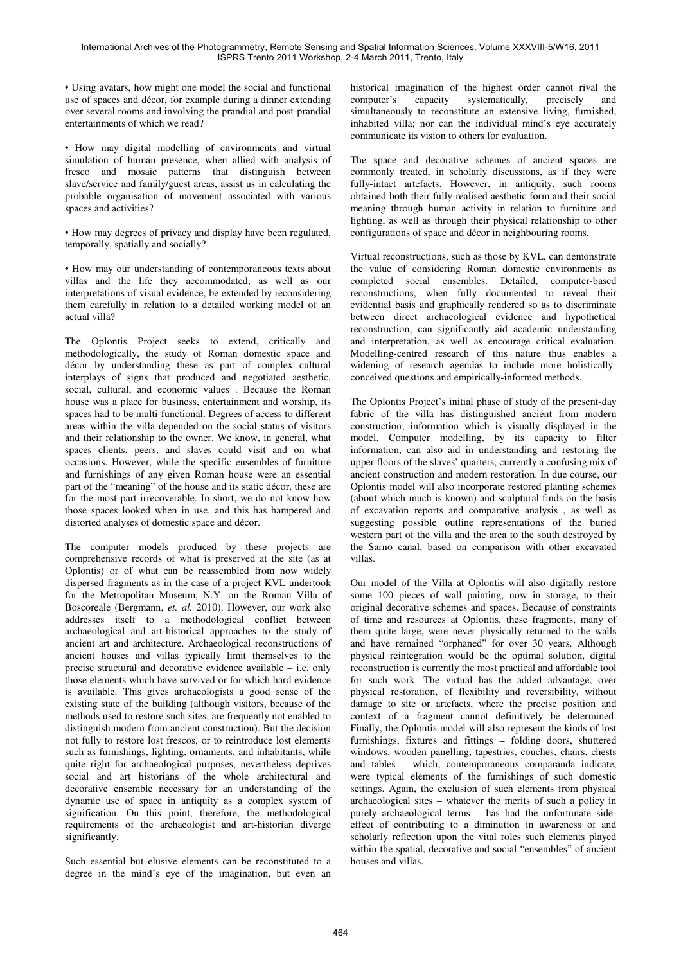• Using avatars, how might one model the social and functional use of spaces and décor, for example during a dinner extending over several rooms and involving the prandial and post-prandial entertainments of which we read?

• How may digital modelling of environments and virtual simulation of human presence, when allied with analysis of fresco and mosaic patterns that distinguish between slave/service and family/guest areas, assist us in calculating the probable organisation of movement associated with various spaces and activities?

• How may degrees of privacy and display have been regulated, temporally, spatially and socially?

• How may our understanding of contemporaneous texts about villas and the life they accommodated, as well as our interpretations of visual evidence, be extended by reconsidering them carefully in relation to a detailed working model of an actual villa?

The Oplontis Project seeks to extend, critically and methodologically, the study of Roman domestic space and décor by understanding these as part of complex cultural interplays of signs that produced and negotiated aesthetic, social, cultural, and economic values . Because the Roman house was a place for business, entertainment and worship, its spaces had to be multi-functional. Degrees of access to different areas within the villa depended on the social status of visitors and their relationship to the owner. We know, in general, what spaces clients, peers, and slaves could visit and on what occasions. However, while the specific ensembles of furniture and furnishings of any given Roman house were an essential part of the "meaning" of the house and its static décor, these are for the most part irrecoverable. In short, we do not know how those spaces looked when in use, and this has hampered and distorted analyses of domestic space and décor.

The computer models produced by these projects are comprehensive records of what is preserved at the site (as at Oplontis) or of what can be reassembled from now widely dispersed fragments as in the case of a project KVL undertook for the Metropolitan Museum, N.Y. on the Roman Villa of Boscoreale (Bergmann, *et. al.* 2010). However, our work also addresses itself to a methodological conflict between archaeological and art-historical approaches to the study of ancient art and architecture. Archaeological reconstructions of ancient houses and villas typically limit themselves to the precise structural and decorative evidence available – i.e. only those elements which have survived or for which hard evidence is available. This gives archaeologists a good sense of the existing state of the building (although visitors, because of the methods used to restore such sites, are frequently not enabled to distinguish modern from ancient construction). But the decision not fully to restore lost frescos, or to reintroduce lost elements such as furnishings, lighting, ornaments, and inhabitants, while quite right for archaeological purposes, nevertheless deprives social and art historians of the whole architectural and decorative ensemble necessary for an understanding of the dynamic use of space in antiquity as a complex system of signification. On this point, therefore, the methodological requirements of the archaeologist and art-historian diverge significantly.

Such essential but elusive elements can be reconstituted to a degree in the mind's eye of the imagination, but even an historical imagination of the highest order cannot rival the computer's capacity systematically, precisely and simultaneously to reconstitute an extensive living, furnished, inhabited villa; nor can the individual mind's eye accurately communicate its vision to others for evaluation.

The space and decorative schemes of ancient spaces are commonly treated, in scholarly discussions, as if they were fully-intact artefacts. However, in antiquity, such rooms obtained both their fully-realised aesthetic form and their social meaning through human activity in relation to furniture and lighting, as well as through their physical relationship to other configurations of space and décor in neighbouring rooms.

Virtual reconstructions, such as those by KVL, can demonstrate the value of considering Roman domestic environments as completed social ensembles. Detailed, computer-based reconstructions, when fully documented to reveal their evidential basis and graphically rendered so as to discriminate between direct archaeological evidence and hypothetical reconstruction, can significantly aid academic understanding and interpretation, as well as encourage critical evaluation. Modelling-centred research of this nature thus enables a widening of research agendas to include more holisticallyconceived questions and empirically-informed methods.

The Oplontis Project's initial phase of study of the present-day fabric of the villa has distinguished ancient from modern construction; information which is visually displayed in the model. Computer modelling, by its capacity to filter information, can also aid in understanding and restoring the upper floors of the slaves' quarters, currently a confusing mix of ancient construction and modern restoration. In due course, our Oplontis model will also incorporate restored planting schemes (about which much is known) and sculptural finds on the basis of excavation reports and comparative analysis , as well as suggesting possible outline representations of the buried western part of the villa and the area to the south destroyed by the Sarno canal, based on comparison with other excavated villas.

Our model of the Villa at Oplontis will also digitally restore some 100 pieces of wall painting, now in storage, to their original decorative schemes and spaces. Because of constraints of time and resources at Oplontis, these fragments, many of them quite large, were never physically returned to the walls and have remained "orphaned" for over 30 years. Although physical reintegration would be the optimal solution, digital reconstruction is currently the most practical and affordable tool for such work. The virtual has the added advantage, over physical restoration, of flexibility and reversibility, without damage to site or artefacts, where the precise position and context of a fragment cannot definitively be determined. Finally, the Oplontis model will also represent the kinds of lost furnishings, fixtures and fittings – folding doors, shuttered windows, wooden panelling, tapestries, couches, chairs, chests and tables – which, contemporaneous comparanda indicate, were typical elements of the furnishings of such domestic settings. Again, the exclusion of such elements from physical archaeological sites – whatever the merits of such a policy in purely archaeological terms – has had the unfortunate sideeffect of contributing to a diminution in awareness of and scholarly reflection upon the vital roles such elements played within the spatial, decorative and social "ensembles" of ancient houses and villas.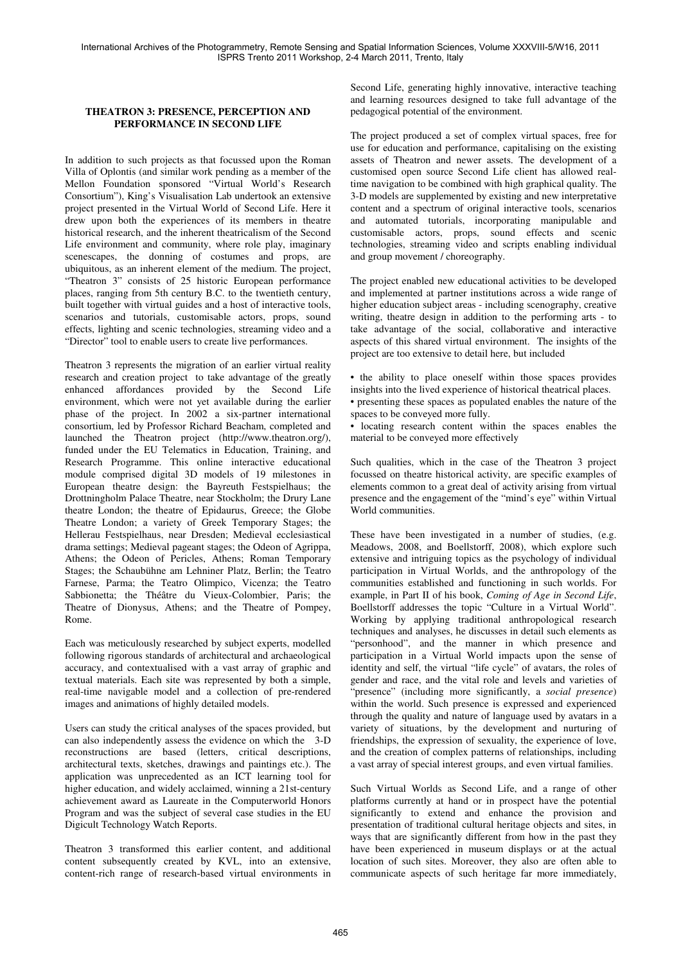### **THEATRON 3: PRESENCE, PERCEPTION AND PERFORMANCE IN SECOND LIFE**

In addition to such projects as that focussed upon the Roman Villa of Oplontis (and similar work pending as a member of the Mellon Foundation sponsored "Virtual World's Research Consortium"), King's Visualisation Lab undertook an extensive project presented in the Virtual World of Second Life. Here it drew upon both the experiences of its members in theatre historical research, and the inherent theatricalism of the Second Life environment and community, where role play, imaginary scenescapes, the donning of costumes and props, are ubiquitous, as an inherent element of the medium. The project, "Theatron 3" consists of 25 historic European performance places, ranging from 5th century B.C. to the twentieth century, built together with virtual guides and a host of interactive tools, scenarios and tutorials, customisable actors, props, sound effects, lighting and scenic technologies, streaming video and a "Director" tool to enable users to create live performances.

Theatron 3 represents the migration of an earlier virtual reality research and creation project to take advantage of the greatly enhanced affordances provided by the Second Life environment, which were not yet available during the earlier phase of the project. In 2002 a six-partner international consortium, led by Professor Richard Beacham, completed and launched the Theatron project (http://www.theatron.org/), funded under the EU Telematics in Education, Training, and Research Programme. This online interactive educational module comprised digital 3D models of 19 milestones in European theatre design: the Bayreuth Festspielhaus; the Drottningholm Palace Theatre, near Stockholm; the Drury Lane theatre London; the theatre of Epidaurus, Greece; the Globe Theatre London; a variety of Greek Temporary Stages; the Hellerau Festspielhaus, near Dresden; Medieval ecclesiastical drama settings; Medieval pageant stages; the Odeon of Agrippa, Athens; the Odeon of Pericles, Athens; Roman Temporary Stages; the Schaubühne am Lehniner Platz, Berlin; the Teatro Farnese, Parma; the Teatro Olimpico, Vicenza; the Teatro Sabbionetta; the Théâtre du Vieux-Colombier, Paris; the Theatre of Dionysus, Athens; and the Theatre of Pompey, Rome.

Each was meticulously researched by subject experts, modelled following rigorous standards of architectural and archaeological accuracy, and contextualised with a vast array of graphic and textual materials. Each site was represented by both a simple, real-time navigable model and a collection of pre-rendered images and animations of highly detailed models.

Users can study the critical analyses of the spaces provided, but can also independently assess the evidence on which the 3-D reconstructions are based (letters, critical descriptions, architectural texts, sketches, drawings and paintings etc.). The application was unprecedented as an ICT learning tool for higher education, and widely acclaimed, winning a 21st-century achievement award as Laureate in the Computerworld Honors Program and was the subject of several case studies in the EU Digicult Technology Watch Reports.

Theatron 3 transformed this earlier content, and additional content subsequently created by KVL, into an extensive, content-rich range of research-based virtual environments in

Second Life, generating highly innovative, interactive teaching and learning resources designed to take full advantage of the pedagogical potential of the environment.

The project produced a set of complex virtual spaces, free for use for education and performance, capitalising on the existing assets of Theatron and newer assets. The development of a customised open source Second Life client has allowed realtime navigation to be combined with high graphical quality. The 3-D models are supplemented by existing and new interpretative content and a spectrum of original interactive tools, scenarios and automated tutorials, incorporating manipulable and customisable actors, props, sound effects and scenic technologies, streaming video and scripts enabling individual and group movement / choreography.

The project enabled new educational activities to be developed and implemented at partner institutions across a wide range of higher education subject areas - including scenography, creative writing, theatre design in addition to the performing arts - to take advantage of the social, collaborative and interactive aspects of this shared virtual environment. The insights of the project are too extensive to detail here, but included

• the ability to place oneself within those spaces provides insights into the lived experience of historical theatrical places. • presenting these spaces as populated enables the nature of the

spaces to be conveyed more fully.

• locating research content within the spaces enables the material to be conveyed more effectively

Such qualities, which in the case of the Theatron 3 project focussed on theatre historical activity, are specific examples of elements common to a great deal of activity arising from virtual presence and the engagement of the "mind's eye" within Virtual World communities.

These have been investigated in a number of studies, (e.g. Meadows, 2008, and Boellstorff, 2008), which explore such extensive and intriguing topics as the psychology of individual participation in Virtual Worlds, and the anthropology of the communities established and functioning in such worlds. For example, in Part II of his book, *Coming of Age in Second Life*, Boellstorff addresses the topic "Culture in a Virtual World". Working by applying traditional anthropological research techniques and analyses, he discusses in detail such elements as "personhood", and the manner in which presence and participation in a Virtual World impacts upon the sense of identity and self, the virtual "life cycle" of avatars, the roles of gender and race, and the vital role and levels and varieties of "presence" (including more significantly, a *social presence*) within the world. Such presence is expressed and experienced through the quality and nature of language used by avatars in a variety of situations, by the development and nurturing of friendships, the expression of sexuality, the experience of love, and the creation of complex patterns of relationships, including a vast array of special interest groups, and even virtual families.

Such Virtual Worlds as Second Life, and a range of other platforms currently at hand or in prospect have the potential significantly to extend and enhance the provision and presentation of traditional cultural heritage objects and sites, in ways that are significantly different from how in the past they have been experienced in museum displays or at the actual location of such sites. Moreover, they also are often able to communicate aspects of such heritage far more immediately,